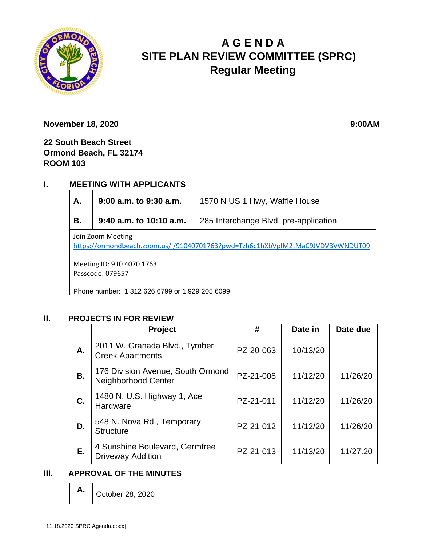

# **A G E N D A SITE PLAN REVIEW COMMITTEE (SPRC) Regular Meeting**

**November 18, 2020 9:00AM** 

**22 South Beach Street Ormond Beach, FL 32174 ROOM 103**

## **I. MEETING WITH APPLICANTS**

| А.                                                                                                  | $9:00$ a.m. to $9:30$ a.m. | 1570 N US 1 Hwy, Waffle House         |  |  |  |
|-----------------------------------------------------------------------------------------------------|----------------------------|---------------------------------------|--|--|--|
| В.                                                                                                  | $9:40$ a.m. to 10:10 a.m.  | 285 Interchange Blvd, pre-application |  |  |  |
| Join Zoom Meeting<br>https://ormondbeach.zoom.us/j/91040701763?pwd=Tzh6c1hXbVpIM2tMaC9JVDVBVWNDUT09 |                            |                                       |  |  |  |
| Meeting ID: 910 4070 1763<br>Passcode: 079657                                                       |                            |                                       |  |  |  |
| Phone number: 1 312 626 6799 or 1 929 205 6099                                                      |                            |                                       |  |  |  |

#### **II. PROJECTS IN FOR REVIEW**

|           | Project                                                    | #         | Date in  | Date due |
|-----------|------------------------------------------------------------|-----------|----------|----------|
| А.        | 2011 W. Granada Blvd., Tymber<br><b>Creek Apartments</b>   | PZ-20-063 | 10/13/20 |          |
| <b>B.</b> | 176 Division Avenue, South Ormond<br>Neighborhood Center   | PZ-21-008 | 11/12/20 | 11/26/20 |
| C.        | 1480 N. U.S. Highway 1, Ace<br>Hardware                    | PZ-21-011 | 11/12/20 | 11/26/20 |
| D.        | 548 N. Nova Rd., Temporary<br><b>Structure</b>             | PZ-21-012 | 11/12/20 | 11/26/20 |
| Е.        | 4 Sunshine Boulevard, Germfree<br><b>Driveway Addition</b> | PZ-21-013 | 11/13/20 | 11/27.20 |

#### **III. APPROVAL OF THE MINUTES**

**A.** October 28, 2020